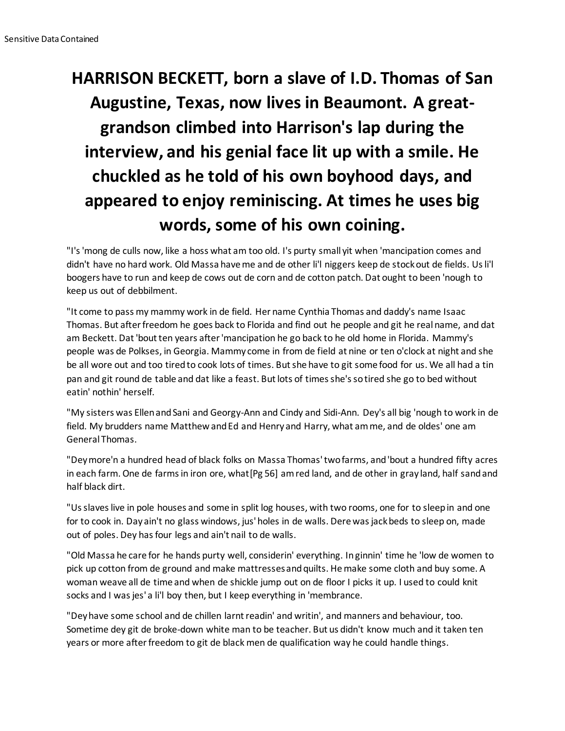## **HARRISON BECKETT, born a slave of I.D. Thomas of San Augustine, Texas, now lives in Beaumont. A greatgrandson climbed into Harrison's lap during the interview, and his genial face lit up with a smile. He chuckled as he told of his own boyhood days, and appeared to enjoy reminiscing. At times he uses big words, some of his own coining.**

"I's 'mong de culls now, like a hoss what am too old. I's purty small yit when 'mancipation comes and didn't have no hard work. Old Massa have me and de other li'l niggers keep de stock out de fields. Us li'l boogers have to run and keep de cows out de corn and de cotton patch. Dat ought to been 'nough to keep us out of debbilment.

"It come to pass my mammy work in de field. Her name Cynthia Thomas and daddy's name Isaac Thomas. But after freedom he goes back to Florida and find out he people and git he real name, and dat am Beckett. Dat 'bout ten years after 'mancipation he go back to he old home in Florida. Mammy's people was de Polkses, in Georgia. Mammy come in from de field at nine or ten o'clock at night and she be all wore out and too tired to cook lots of times. But she have to git some food for us. We all had a tin pan and git round de table and dat like a feast. But lots of times she's so tired she go to bed without eatin' nothin' herself.

"My sisters was Ellen and Sani and Georgy-Ann and Cindy and Sidi-Ann. Dey's all big 'nough to work in de field. My brudders name Matthew and Ed and Henry and Harry, what am me, and de oldes' one am General Thomas.

"Dey more'n a hundred head of black folks on Massa Thomas' two farms, and 'bout a hundred fifty acres in each farm. One de farms in iron ore, what[Pg 56] am red land, and de other in gray land, half sand and half black dirt.

"Us slaves live in pole houses and some in split log houses, with two rooms, one for to sleep in and one for to cook in. Day ain't no glass windows, jus' holes in de walls. Dere was jack beds to sleep on, made out of poles. Dey has four legs and ain't nail to de walls.

"Old Massa he care for he hands purty well, considerin' everything. In ginnin' time he 'low de women to pick up cotton from de ground and make mattresses and quilts. He make some cloth and buy some. A woman weave all de time and when de shickle jump out on de floor I picks it up. I used to could knit socks and I was jes' a li'l boy then, but I keep everything in 'membrance.

"Dey have some school and de chillen larnt readin' and writin', and manners and behaviour, too. Sometime dey git de broke-down white man to be teacher. But us didn't know much and it taken ten years or more after freedom to git de black men de qualification way he could handle things.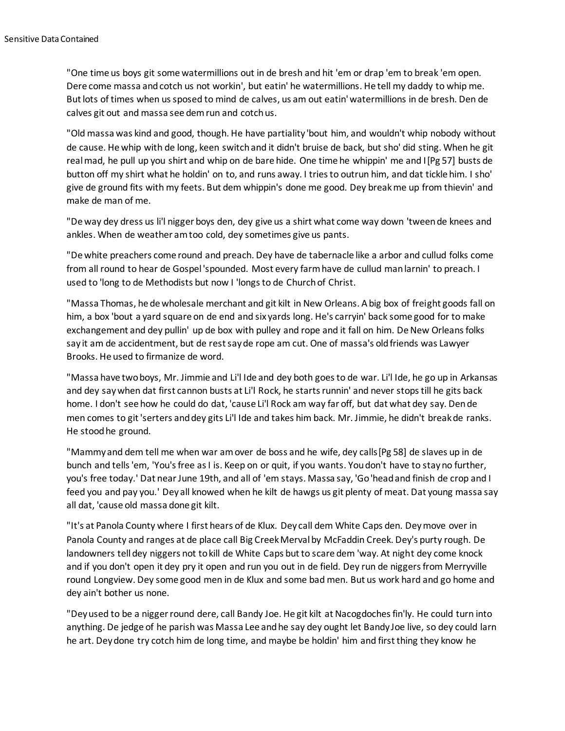"One time us boys git some watermillions out in de bresh and hit 'em or drap 'em to break 'em open. Dere come massa and cotch us not workin', but eatin' he watermillions. He tell my daddy to whip me. But lots of times when us sposed to mind de calves, us am out eatin' watermillions in de bresh. Den de calves git out and massa see dem run and cotch us.

"Old massa was kind and good, though. He have partiality 'bout him, and wouldn't whip nobody without de cause. He whip with de long, keen switch and it didn't bruise de back, but sho' did sting. When he git real mad, he pull up you shirt and whip on de bare hide. One time he whippin' me and I[Pg 57] busts de button off my shirt what he holdin' on to, and runs away. I tries to outrun him, and dat tickle him. I sho' give de ground fits with my feets. But dem whippin's done me good. Dey break me up from thievin' and make de man of me.

"De way dey dress us li'l nigger boys den, dey give us a shirt what come way down 'tween de knees and ankles. When de weather am too cold, dey sometimes give us pants.

"De white preachers come round and preach. Dey have de tabernacle like a arbor and cullud folks come from all round to hear de Gospel 'spounded. Most every farm have de cullud man larnin' to preach. I used to 'long to de Methodists but now I 'longs to de Church of Christ.

"Massa Thomas, he de wholesale merchant and git kilt in New Orleans. A big box of freight goods fall on him, a box 'bout a yard square on de end and six yards long. He's carryin' back some good for to make exchangement and dey pullin' up de box with pulley and rope and it fall on him. De New Orleans folks say it am de accidentment, but de rest say de rope am cut. One of massa's old friends was Lawyer Brooks. He used to firmanize de word.

"Massa have two boys, Mr. Jimmie and Li'l Ide and dey both goes to de war. Li'l Ide, he go up in Arkansas and dey say when dat first cannon busts at Li'l Rock, he starts runnin' and never stops till he gits back home. I don't see how he could do dat, 'cause Li'l Rock am way far off, but dat what dey say. Den de men comes to git 'serters and dey gits Li'l Ide and takes him back. Mr. Jimmie, he didn't break de ranks. He stood he ground.

"Mammy and dem tell me when war am over de boss and he wife, dey calls[Pg 58] de slaves up in de bunch and tells 'em, 'You's free as I is. Keep on or quit, if you wants. You don't have to stay no further, you's free today.' Dat near June 19th, and all of 'em stays. Massa say, 'Go 'head and finish de crop and I feed you and pay you.' Dey all knowed when he kilt de hawgs us git plenty of meat. Dat young massa say all dat, 'cause old massa done git kilt.

"It's at Panola County where I first hears of de Klux. Dey call dem White Caps den. Dey move over in Panola County and ranges at de place call Big Creek Merval by McFaddin Creek. Dey's purty rough. De landowners tell dey niggers not to kill de White Caps but to scare dem 'way. At night dey come knock and if you don't open it dey pry it open and run you out in de field. Dey run de niggers from Merryville round Longview. Dey some good men in de Klux and some bad men. But us work hard and go home and dey ain't bother us none.

"Dey used to be a nigger round dere, call Bandy Joe. He git kilt at Nacogdoches fin'ly. He could turn into anything. De jedge of he parish was Massa Lee and he say dey ought let Bandy Joe live, so dey could larn he art. Dey done try cotch him de long time, and maybe be holdin' him and first thing they know he